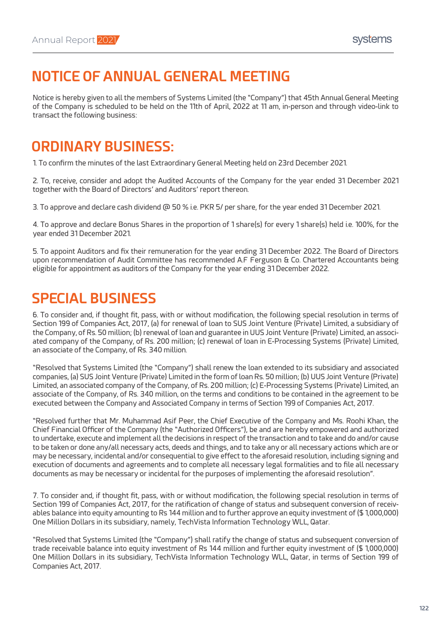### **NOTICE OF ANNUAL GENERAL MEETING**

Notice is hereby given to all the members of Systems Limited (the "Company") that 45th Annual General Meeting of the Company is scheduled to be held on the 11th of April, 2022 at 11 am, in-person and through video-link to transact the following business:

### **ORDINARY BUSINESS:**

1. To confirm the minutes of the last Extraordinary General Meeting held on 23rd December 2021.

2. To, receive, consider and adopt the Audited Accounts of the Company for the year ended 31 December 2021 together with the Board of Directors' and Auditors' report thereon.

3. To approve and declare cash dividend @ 50 % i.e. PKR 5/ per share, for the year ended 31 December 2021.

4. To approve and declare Bonus Shares in the proportion of 1 share(s) for every 1 share(s) held i.e. 100%, for the year ended 31 December 2021.

5. To appoint Auditors and fix their remuneration for the year ending 31 December 2022. The Board of Directors upon recommendation of Audit Committee has recommended A.F Ferguson & Co. Chartered Accountants being eligible for appointment as auditors of the Company for the year ending 31 December 2022.

### **SPECIAL BUSINESS**

6. To consider and, if thought fit, pass, with or without modification, the following special resolution in terms of Section 199 of Companies Act, 2017, (a) for renewal of loan to SUS Joint Venture (Private) Limited, a subsidiary of the Company, of Rs. 50 million; (b) renewal of loan and guarantee in UUS Joint Venture (Private) Limited, an associated company of the Company, of Rs. 200 million; (c) renewal of loan in E-Processing Systems (Private) Limited, an associate of the Company, of Rs. 340 million.

"Resolved that Systems Limited (the "Company") shall renew the loan extended to its subsidiary and associated companies, (a) SUS Joint Venture (Private) Limited in the form of loan Rs. 50 million; (b) UUS Joint Venture (Private) Limited, an associated company of the Company, of Rs. 200 million; (c) E-Processing Systems (Private) Limited, an associate of the Company, of Rs. 340 million, on the terms and conditions to be contained in the agreement to be executed between the Company and Associated Company in terms of Section 199 of Companies Act, 2017.

"Resolved further that Mr. Muhammad Asif Peer, the Chief Executive of the Company and Ms. Roohi Khan, the Chief Financial Officer of the Company (the "Authorized Officers"), be and are hereby empowered and authorized to undertake, execute and implement all the decisions in respect of the transaction and to take and do and/or cause to be taken or done any/all necessary acts, deeds and things, and to take any or all necessary actions which are or may be necessary, incidental and/or consequential to give effect to the aforesaid resolution, including signing and execution of documents and agreements and to complete all necessary legal formalities and to file all necessary documents as may be necessary or incidental for the purposes of implementing the aforesaid resolution".

7. To consider and, if thought fit, pass, with or without modification, the following special resolution in terms of Section 199 of Companies Act, 2017, for the ratification of change of status and subsequent conversion of receivables balance into equity amounting to Rs 144 million and to further approve an equity investment of (\$ 1,000,000) One Million Dollars in its subsidiary, namely, TechVista Information Technology WLL, Qatar.

"Resolved that Systems Limited (the "Company") shall ratify the change of status and subsequent conversion of trade receivable balance into equity investment of Rs 144 million and further equity investment of (\$ 1,000,000) One Million Dollars in its subsidiary, TechVista Information Technology WLL, Qatar, in terms of Section 199 of Companies Act, 2017.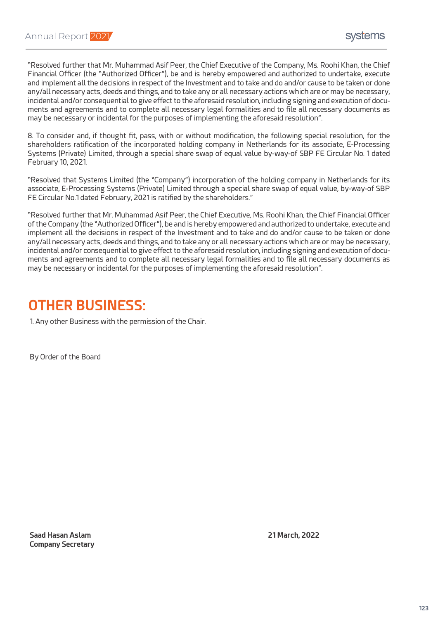"Resolved further that Mr. Muhammad Asif Peer, the Chief Executive of the Company, Ms. Roohi Khan, the Chief Financial Officer (the "Authorized Officer"), be and is hereby empowered and authorized to undertake, execute and implement all the decisions in respect of the Investment and to take and do and/or cause to be taken or done any/all necessary acts, deeds and things, and to take any or all necessary actions which are or may be necessary, incidental and/or consequential to give effect to the aforesaid resolution, including signing and execution of documents and agreements and to complete all necessary legal formalities and to file all necessary documents as may be necessary or incidental for the purposes of implementing the aforesaid resolution".

8. To consider and, if thought fit, pass, with or without modification, the following special resolution, for the shareholders ratification of the incorporated holding company in Netherlands for its associate, E-Processing Systems (Private) Limited, through a special share swap of equal value by-way-of SBP FE Circular No. 1 dated February 10, 2021.

"Resolved that Systems Limited (the "Company") incorporation of the holding company in Netherlands for its associate, E-Processing Systems (Private) Limited through a special share swap of equal value, by-way-of SBP FE Circular No.1 dated February, 2021 is ratified by the shareholders."

"Resolved further that Mr. Muhammad Asif Peer, the Chief Executive, Ms. Roohi Khan, the Chief Financial Officer of the Company (the "Authorized Officer"), be and is hereby empowered and authorized to undertake, execute and implement all the decisions in respect of the Investment and to take and do and/or cause to be taken or done any/all necessary acts, deeds and things, and to take any or all necessary actions which are or may be necessary, incidental and/or consequential to give effect to the aforesaid resolution, including signing and execution of documents and agreements and to complete all necessary legal formalities and to file all necessary documents as may be necessary or incidental for the purposes of implementing the aforesaid resolution".

### **OTHER BUSINESS:**

1. Any other Business with the permission of the Chair.

By Order of the Board

**Saad Hasan Aslam 21 March, 2022 Company Secretary**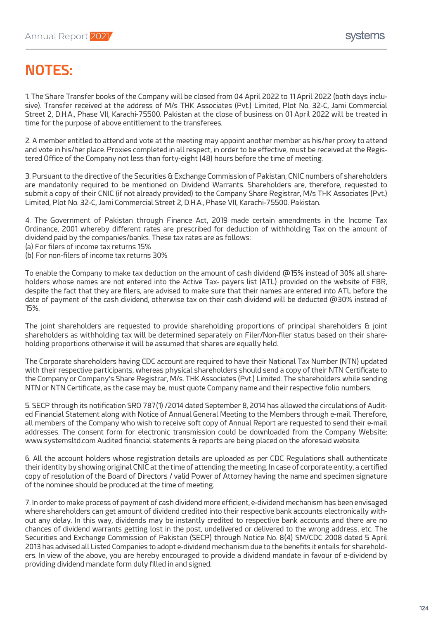### **NOTES:**

1. The Share Transfer books of the Company will be closed from 04 April 2022 to 11 April 2022 (both days inclusive). Transfer received at the address of M/s THK Associates (Pvt.) Limited, Plot No. 32-C, Jami Commercial Street 2, D.H.A., Phase VII, Karachi-75500. Pakistan at the close of business on 01 April 2022 will be treated in time for the purpose of above entitlement to the transferees.

2. A member entitled to attend and vote at the meeting may appoint another member as his/her proxy to attend and vote in his/her place. Proxies completed in all respect, in order to be effective, must be received at the Registered Office of the Company not less than forty-eight (48) hours before the time of meeting.

3. Pursuant to the directive of the Securities & Exchange Commission of Pakistan, CNIC numbers of shareholders are mandatorily required to be mentioned on Dividend Warrants. Shareholders are, therefore, requested to submit a copy of their CNIC (if not already provided) to the Company Share Registrar, M/s THK Associates (Pvt.) Limited, Plot No. 32-C, Jami Commercial Street 2, D.H.A., Phase VII, Karachi-75500. Pakistan.

4. The Government of Pakistan through Finance Act, 2019 made certain amendments in the Income Tax Ordinance, 2001 whereby different rates are prescribed for deduction of withholding Tax on the amount of dividend paid by the companies/banks. These tax rates are as follows:

- (a) For filers of income tax returns 15%
- (b) For non-filers of income tax returns 30%

To enable the Company to make tax deduction on the amount of cash dividend @15% instead of 30% all shareholders whose names are not entered into the Active Tax- payers list (ATL) provided on the website of FBR, despite the fact that they are filers, are advised to make sure that their names are entered into ATL before the date of payment of the cash dividend, otherwise tax on their cash dividend will be deducted @30% instead of 15%.

The joint shareholders are requested to provide shareholding proportions of principal shareholders & joint shareholders as withholding tax will be determined separately on Filer/Non-filer status based on their shareholding proportions otherwise it will be assumed that shares are equally held.

The Corporate shareholders having CDC account are required to have their National Tax Number (NTN) updated with their respective participants, whereas physical shareholders should send a copy of their NTN Certificate to the Company or Company's Share Registrar, M/s. THK Associates (Pvt.) Limited. The shareholders while sending NTN or NTN Certificate, as the case may be, must quote Company name and their respective folio numbers.

5. SECP through its notification SRO 787(1) /2014 dated September 8, 2014 has allowed the circulations of Audited Financial Statement along with Notice of Annual General Meeting to the Members through e-mail. Therefore, all members of the Company who wish to receive soft copy of Annual Report are requested to send their e-mail addresses. The consent form for electronic transmission could be downloaded from the Company Website: www.systemsltd.com Audited financial statements & reports are being placed on the aforesaid website.

6. All the account holders whose registration details are uploaded as per CDC Regulations shall authenticate their identity by showing original CNIC at the time of attending the meeting. In case of corporate entity, a certified copy of resolution of the Board of Directors / valid Power of Attorney having the name and specimen signature of the nominee should be produced at the time of meeting.

7. In order to make process of payment of cash dividend more efficient, e-dividend mechanism has been envisaged where shareholders can get amount of dividend credited into their respective bank accounts electronically without any delay. In this way, dividends may be instantly credited to respective bank accounts and there are no chances of dividend warrants getting lost in the post, undelivered or delivered to the wrong address, etc. The Securities and Exchange Commission of Pakistan (SECP) through Notice No. 8(4) SM/CDC 2008 dated 5 April 2013 has advised all Listed Companies to adopt e-dividend mechanism due to the benefits it entails for shareholders. In view of the above, you are hereby encouraged to provide a dividend mandate in favour of e-dividend by providing dividend mandate form duly filled in and signed.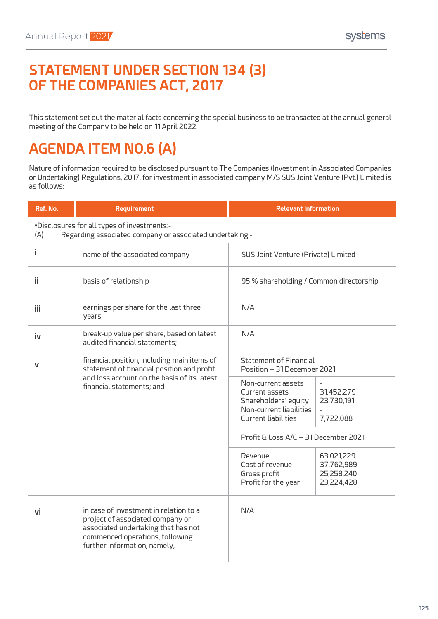

This statement set out the material facts concerning the special business to be transacted at the annual general meeting of the Company to be held on 11 April 2022.

# **AGENDA ITEM NO.6 (A)**

Nature of information required to be disclosed pursuant to The Companies (Investment in Associated Companies or Undertaking) Regulations, 2017, for investment in associated company M/S SUS Joint Venture (Pvt.) Limited is as follows:

| Ref. No. | <b>Requirement</b>                                                                                                                                                                    | <b>Relevant Information</b>                                                                                                                                    |  |  |
|----------|---------------------------------------------------------------------------------------------------------------------------------------------------------------------------------------|----------------------------------------------------------------------------------------------------------------------------------------------------------------|--|--|
| (A)      | .Disclosures for all types of investments:-<br>Regarding associated company or associated undertaking:-                                                                               |                                                                                                                                                                |  |  |
| Ĩ.       | name of the associated company                                                                                                                                                        | SUS Joint Venture (Private) Limited                                                                                                                            |  |  |
| ii       | basis of relationship                                                                                                                                                                 | 95 % shareholding / Common directorship                                                                                                                        |  |  |
| iii.     | earnings per share for the last three<br>vears                                                                                                                                        | N/A                                                                                                                                                            |  |  |
| iv       | break-up value per share, based on latest<br>audited financial statements;                                                                                                            | N/A                                                                                                                                                            |  |  |
| V        | financial position, including main items of<br>statement of financial position and profit<br>and loss account on the basis of its latest<br>financial statements; and                 | <b>Statement of Financial</b><br>Position - 31 December 2021                                                                                                   |  |  |
|          |                                                                                                                                                                                       | Non-current assets<br>Current assets<br>31,452,279<br>Shareholders' equity<br>23,730,191<br>Non-current liabilities<br><b>Current liabilities</b><br>7,722,088 |  |  |
|          |                                                                                                                                                                                       | Profit & Loss A/C - 31 December 2021                                                                                                                           |  |  |
|          |                                                                                                                                                                                       | Revenue<br>63,021,229<br>Cost of revenue<br>37,762,989<br>25,258,240<br>Gross profit<br>Profit for the year<br>23,224,428                                      |  |  |
| vi       | in case of investment in relation to a<br>project of associated company or<br>associated undertaking that has not<br>commenced operations, following<br>further information, namely,- | N/A                                                                                                                                                            |  |  |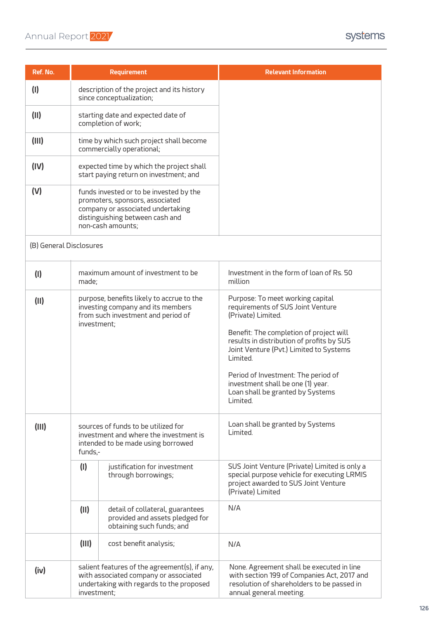### Annual Report 2021

| Ref. No.                |                                                                                                                                                                                                                                                                                                                                       | <b>Requirement</b>                                                                                                                 | <b>Relevant Information</b>                                                                                                                                                                                                                                                                                                                                            |
|-------------------------|---------------------------------------------------------------------------------------------------------------------------------------------------------------------------------------------------------------------------------------------------------------------------------------------------------------------------------------|------------------------------------------------------------------------------------------------------------------------------------|------------------------------------------------------------------------------------------------------------------------------------------------------------------------------------------------------------------------------------------------------------------------------------------------------------------------------------------------------------------------|
| (1)                     |                                                                                                                                                                                                                                                                                                                                       | description of the project and its history<br>since conceptualization;                                                             |                                                                                                                                                                                                                                                                                                                                                                        |
| (11)                    |                                                                                                                                                                                                                                                                                                                                       | starting date and expected date of<br>completion of work;                                                                          |                                                                                                                                                                                                                                                                                                                                                                        |
| (III)                   | time by which such project shall become<br>commercially operational;<br>expected time by which the project shall<br>start paying return on investment; and<br>funds invested or to be invested by the<br>promoters, sponsors, associated<br>company or associated undertaking<br>distinguishing between cash and<br>non-cash amounts; |                                                                                                                                    |                                                                                                                                                                                                                                                                                                                                                                        |
| (IV)                    |                                                                                                                                                                                                                                                                                                                                       |                                                                                                                                    |                                                                                                                                                                                                                                                                                                                                                                        |
| (V)                     |                                                                                                                                                                                                                                                                                                                                       |                                                                                                                                    |                                                                                                                                                                                                                                                                                                                                                                        |
| (B) General Disclosures |                                                                                                                                                                                                                                                                                                                                       |                                                                                                                                    |                                                                                                                                                                                                                                                                                                                                                                        |
| (1)                     | maximum amount of investment to be<br>made;                                                                                                                                                                                                                                                                                           |                                                                                                                                    | Investment in the form of loan of Rs. 50<br>million                                                                                                                                                                                                                                                                                                                    |
| (11)                    | purpose, benefits likely to accrue to the<br>investing company and its members<br>from such investment and period of<br>investment;                                                                                                                                                                                                   |                                                                                                                                    | Purpose: To meet working capital<br>requirements of SUS Joint Venture<br>(Private) Limited.<br>Benefit: The completion of project will<br>results in distribution of profits by SUS<br>Joint Venture (Pvt.) Limited to Systems<br>Limited.<br>Period of Investment: The period of<br>investment shall be one (1) year.<br>Loan shall be granted by Systems<br>Limited. |
| (III)                   | sources of funds to be utilized for<br>investment and where the investment is<br>intended to be made using borrowed<br>funds,-                                                                                                                                                                                                        |                                                                                                                                    | Loan shall be granted by Systems<br>Limited.                                                                                                                                                                                                                                                                                                                           |
|                         | (1)                                                                                                                                                                                                                                                                                                                                   | justification for investment<br>through borrowings;                                                                                | SUS Joint Venture (Private) Limited is only a<br>special purpose vehicle for executing LRMIS<br>project awarded to SUS Joint Venture<br>(Private) Limited                                                                                                                                                                                                              |
|                         | (11)<br>detail of collateral, guarantees<br>provided and assets pledged for<br>obtaining such funds; and                                                                                                                                                                                                                              |                                                                                                                                    | N/A                                                                                                                                                                                                                                                                                                                                                                    |
|                         | (III)                                                                                                                                                                                                                                                                                                                                 | cost benefit analysis;                                                                                                             | N/A                                                                                                                                                                                                                                                                                                                                                                    |
| (iv)                    | investment;                                                                                                                                                                                                                                                                                                                           | salient features of the agreement(s), if any,<br>with associated company or associated<br>undertaking with regards to the proposed | None. Agreement shall be executed in line<br>with section 199 of Companies Act, 2017 and<br>resolution of shareholders to be passed in<br>annual general meeting.                                                                                                                                                                                                      |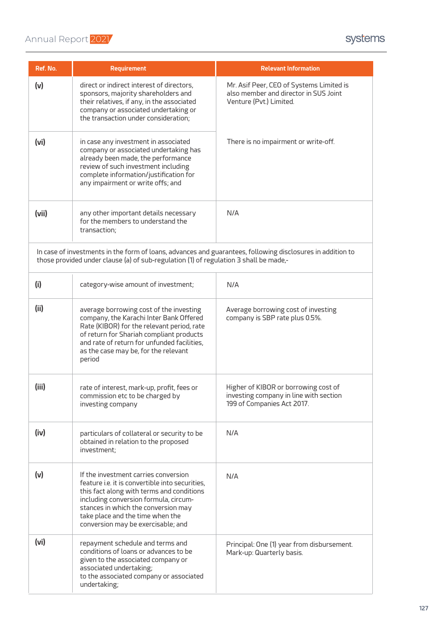| Ref. No.                                                                                                                                                                                            | <b>Requirement</b>                                                                                                                                                                                                                                                                             | <b>Relevant Information</b>                                                                                  |  |
|-----------------------------------------------------------------------------------------------------------------------------------------------------------------------------------------------------|------------------------------------------------------------------------------------------------------------------------------------------------------------------------------------------------------------------------------------------------------------------------------------------------|--------------------------------------------------------------------------------------------------------------|--|
| (v)                                                                                                                                                                                                 | direct or indirect interest of directors,<br>sponsors, majority shareholders and<br>their relatives, if any, in the associated<br>company or associated undertaking or<br>the transaction under consideration;                                                                                 | Mr. Asif Peer, CEO of Systems Limited is<br>also member and director in SUS Joint<br>Venture (Pvt.) Limited. |  |
| (vi)                                                                                                                                                                                                | in case any investment in associated<br>company or associated undertaking has<br>already been made, the performance<br>review of such investment including<br>complete information/justification for<br>any impairment or write offs; and                                                      | There is no impairment or write-off.                                                                         |  |
| (vii)                                                                                                                                                                                               | any other important details necessary<br>for the members to understand the<br>transaction;                                                                                                                                                                                                     | N/A                                                                                                          |  |
| In case of investments in the form of loans, advances and guarantees, following disclosures in addition to<br>those provided under clause (a) of sub-regulation (1) of regulation 3 shall be made,- |                                                                                                                                                                                                                                                                                                |                                                                                                              |  |
| (i)                                                                                                                                                                                                 | category-wise amount of investment;                                                                                                                                                                                                                                                            | N/A                                                                                                          |  |
| (ii)                                                                                                                                                                                                | average borrowing cost of the investing<br>company, the Karachi Inter Bank Offered<br>Rate (KIBOR) for the relevant period, rate<br>of return for Shariah compliant products<br>and rate of return for unfunded facilities,<br>as the case may be, for the relevant<br>period                  | Average borrowing cost of investing<br>company is SBP rate plus 0.5%.                                        |  |
| (iii)                                                                                                                                                                                               | rate of interest, mark-up, profit, fees or<br>commission etc to be charged by<br>investing company                                                                                                                                                                                             | Higher of KIBOR or borrowing cost of<br>investing company in line with section<br>199 of Companies Act 2017. |  |
| (iv)                                                                                                                                                                                                | particulars of collateral or security to be<br>obtained in relation to the proposed<br>investment;                                                                                                                                                                                             | N/A                                                                                                          |  |
| (v)                                                                                                                                                                                                 | If the investment carries conversion<br>feature i.e. it is convertible into securities,<br>this fact along with terms and conditions<br>including conversion formula, circum-<br>stances in which the conversion may<br>take place and the time when the<br>conversion may be exercisable; and | N/A                                                                                                          |  |
| (vi)                                                                                                                                                                                                | repayment schedule and terms and<br>conditions of loans or advances to be<br>given to the associated company or<br>associated undertaking;<br>to the associated company or associated<br>undertaking;                                                                                          | Principal: One (1) year from disbursement.<br>Mark-up: Quarterly basis.                                      |  |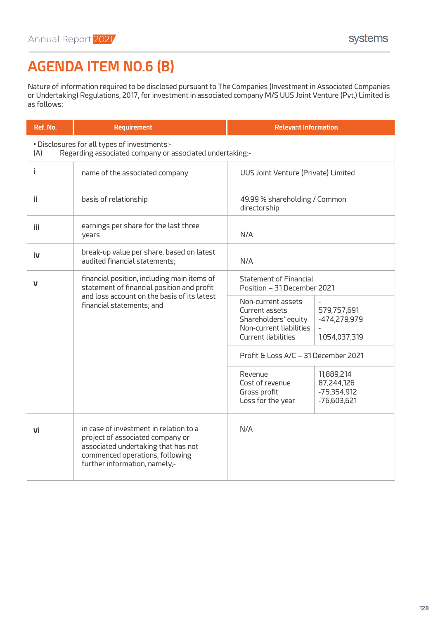# **Ref. No. Requirement Relevant Information AGENDA ITEM NO.6 (B)**

Nature of information required to be disclosed pursuant to The Companies (Investment in Associated Companies or Undertaking) Regulations, 2017, for investment in associated company M/S UUS Joint Venture (Pvt.) Limited is as follows:

| Ref. No.                                                                                                        | <b>Requirement</b>                                                                                                                                                                    | <b>Relevant Information</b>                                                                                                                                           |  |  |
|-----------------------------------------------------------------------------------------------------------------|---------------------------------------------------------------------------------------------------------------------------------------------------------------------------------------|-----------------------------------------------------------------------------------------------------------------------------------------------------------------------|--|--|
| . Disclosures for all types of investments:-<br>Regarding associated company or associated undertaking:-<br>(A) |                                                                                                                                                                                       |                                                                                                                                                                       |  |  |
| i                                                                                                               | name of the associated company                                                                                                                                                        | UUS Joint Venture (Private) Limited                                                                                                                                   |  |  |
| ii                                                                                                              | basis of relationship                                                                                                                                                                 | 49.99 % shareholding / Common<br>directorship                                                                                                                         |  |  |
| iii.                                                                                                            | earnings per share for the last three<br>vears                                                                                                                                        | N/A                                                                                                                                                                   |  |  |
| <b>iv</b>                                                                                                       | break-up value per share, based on latest<br>audited financial statements;                                                                                                            | N/A                                                                                                                                                                   |  |  |
| V                                                                                                               | financial position, including main items of<br>statement of financial position and profit<br>and loss account on the basis of its latest<br>financial statements; and                 | <b>Statement of Financial</b><br>Position - 31 December 2021                                                                                                          |  |  |
|                                                                                                                 |                                                                                                                                                                                       | Non-current assets<br>579,757,691<br>Current assets<br>Shareholders' equity<br>-474,279,979<br>Non-current liabilities<br><b>Current liabilities</b><br>1,054,037,319 |  |  |
|                                                                                                                 |                                                                                                                                                                                       | Profit & Loss A/C - 31 December 2021                                                                                                                                  |  |  |
|                                                                                                                 |                                                                                                                                                                                       | Revenue<br>11,889,214<br>Cost of revenue<br>87,244,126<br>Gross profit<br>$-75,354,912$<br>Loss for the year<br>$-76,603,621$                                         |  |  |
| vi                                                                                                              | in case of investment in relation to a<br>project of associated company or<br>associated undertaking that has not<br>commenced operations, following<br>further information, namely,- | N/A                                                                                                                                                                   |  |  |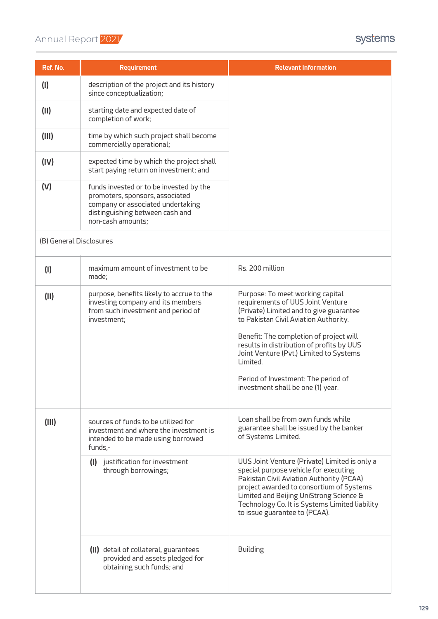| Ref. No.                | <b>Requirement</b>                                                                                                                                                      | <b>Relevant Information</b>                                                                                                                                                                                                                                                                                                                                                          |
|-------------------------|-------------------------------------------------------------------------------------------------------------------------------------------------------------------------|--------------------------------------------------------------------------------------------------------------------------------------------------------------------------------------------------------------------------------------------------------------------------------------------------------------------------------------------------------------------------------------|
| (1)                     | description of the project and its history<br>since conceptualization;                                                                                                  |                                                                                                                                                                                                                                                                                                                                                                                      |
| (11)                    | starting date and expected date of<br>completion of work;                                                                                                               |                                                                                                                                                                                                                                                                                                                                                                                      |
| (III)                   | time by which such project shall become<br>commercially operational;                                                                                                    |                                                                                                                                                                                                                                                                                                                                                                                      |
| (IV)                    | expected time by which the project shall<br>start paying return on investment; and                                                                                      |                                                                                                                                                                                                                                                                                                                                                                                      |
| (V)                     | funds invested or to be invested by the<br>promoters, sponsors, associated<br>company or associated undertaking<br>distinguishing between cash and<br>non-cash amounts; |                                                                                                                                                                                                                                                                                                                                                                                      |
| (B) General Disclosures |                                                                                                                                                                         |                                                                                                                                                                                                                                                                                                                                                                                      |
| (1)                     | maximum amount of investment to be<br>made;                                                                                                                             | Rs. 200 million                                                                                                                                                                                                                                                                                                                                                                      |
| (II)                    | purpose, benefits likely to accrue to the<br>investing company and its members<br>from such investment and period of<br>investment;                                     | Purpose: To meet working capital<br>requirements of UUS Joint Venture<br>(Private) Limited and to give guarantee<br>to Pakistan Civil Aviation Authority.<br>Benefit: The completion of project will<br>results in distribution of profits by UUS<br>Joint Venture (Pvt.) Limited to Systems<br>Limited.<br>Period of Investment: The period of<br>investment shall be one (1) year. |
| (III)                   | sources of funds to be utilized for<br>investment and where the investment is<br>intended to be made using borrowed<br>funds,-                                          | Loan shall be from own funds while<br>guarantee shall be issued by the banker<br>of Systems Limited.                                                                                                                                                                                                                                                                                 |
|                         | justification for investment<br>(1)<br>through borrowings;                                                                                                              | UUS Joint Venture (Private) Limited is only a<br>special purpose vehicle for executing<br>Pakistan Civil Aviation Authority (PCAA)<br>project awarded to consortium of Systems<br>Limited and Beijing UniStrong Science &<br>Technology Co. It is Systems Limited liability<br>to issue guarantee to (PCAA).                                                                         |
|                         | (II) detail of collateral, guarantees<br>provided and assets pledged for<br>obtaining such funds; and                                                                   | <b>Building</b>                                                                                                                                                                                                                                                                                                                                                                      |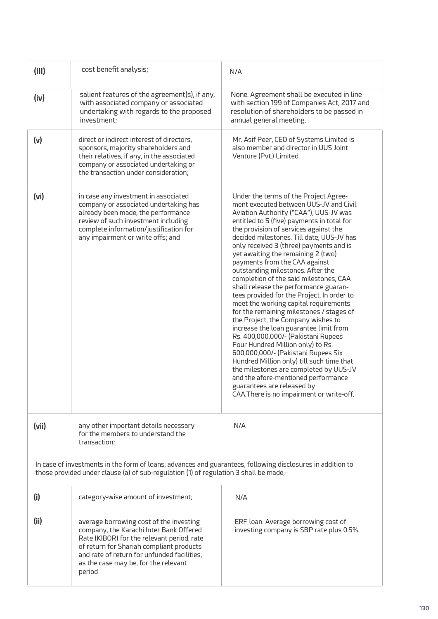| (III)             | cost benefit analysis;                                                                                                                                                                                                                                                        | N/A                                                                                                                                                                                                                                                                                                                                                                                                                                                                                                                                                                                                                                                                                                                                                                                                                                                                                                                                                                                                                                                   |
|-------------------|-------------------------------------------------------------------------------------------------------------------------------------------------------------------------------------------------------------------------------------------------------------------------------|-------------------------------------------------------------------------------------------------------------------------------------------------------------------------------------------------------------------------------------------------------------------------------------------------------------------------------------------------------------------------------------------------------------------------------------------------------------------------------------------------------------------------------------------------------------------------------------------------------------------------------------------------------------------------------------------------------------------------------------------------------------------------------------------------------------------------------------------------------------------------------------------------------------------------------------------------------------------------------------------------------------------------------------------------------|
| (iv)              | salient features of the agreement(s), if any,<br>with associated company or associated<br>undertaking with regards to the proposed<br>investment:                                                                                                                             | None. Agreement shall be executed in line<br>with section 199 of Companies Act, 2017 and<br>resolution of shareholders to be passed in<br>annual general meeting.                                                                                                                                                                                                                                                                                                                                                                                                                                                                                                                                                                                                                                                                                                                                                                                                                                                                                     |
| (v)               | direct or indirect interest of directors,<br>sponsors, majority shareholders and<br>their relatives, if any, in the associated<br>company or associated undertaking or<br>the transaction under consideration;                                                                | Mr. Asif Peer, CEO of Systems Limited is<br>also member and director in UUS Joint<br>Venture (Pvt.) Limited.                                                                                                                                                                                                                                                                                                                                                                                                                                                                                                                                                                                                                                                                                                                                                                                                                                                                                                                                          |
| (v <sub>i</sub> ) | in case any investment in associated<br>company or associated undertaking has<br>already been made, the performance<br>review of such investment including<br>complete information/justification for<br>any impairment or write offs; and                                     | Under the terms of the Project Agree-<br>ment executed between UUS-JV and Civil<br>Aviation Authority ("CAA"), UUS-JV was<br>entitled to 5 (five) payments in total for<br>the provision of services against the<br>decided milestones. Till date, UUS-JV has<br>only received 3 (three) payments and is<br>yet awaiting the remaining 2 (two)<br>payments from the CAA against<br>outstanding milestones. After the<br>completion of the said milestones, CAA<br>shall release the performance guaran-<br>tees provided for the Project. In order to<br>meet the working capital requirements<br>for the remaining milestones / stages of<br>the Project, the Company wishes to<br>increase the loan guarantee limit from<br>Rs. 400,000,000/- (Pakistani Rupees<br>Four Hundred Million only) to Rs.<br>600,000,000/- (Pakistani Rupees Six<br>Hundred Million only) till such time that<br>the milestones are completed by UUS-JV<br>and the afore-mentioned performance<br>guarantees are released by<br>CAA.There is no impairment or write-off. |
| (vii)             | any other important details necessary<br>for the members to understand the<br>transaction;                                                                                                                                                                                    | N/A                                                                                                                                                                                                                                                                                                                                                                                                                                                                                                                                                                                                                                                                                                                                                                                                                                                                                                                                                                                                                                                   |
|                   | In case of investments in the form of loans, advances and guarantees, following disclosures in addition to<br>those provided under clause (a) of sub-regulation (1) of regulation 3 shall be made,-                                                                           |                                                                                                                                                                                                                                                                                                                                                                                                                                                                                                                                                                                                                                                                                                                                                                                                                                                                                                                                                                                                                                                       |
| (i)               | category-wise amount of investment;                                                                                                                                                                                                                                           | N/A                                                                                                                                                                                                                                                                                                                                                                                                                                                                                                                                                                                                                                                                                                                                                                                                                                                                                                                                                                                                                                                   |
| (ii)              | average borrowing cost of the investing<br>company, the Karachi Inter Bank Offered<br>Rate (KIBOR) for the relevant period, rate<br>of return for Shariah compliant products<br>and rate of return for unfunded facilities,<br>as the case may be, for the relevant<br>period | ERF loan: Average borrowing cost of<br>investing company is SBP rate plus 0.5%.                                                                                                                                                                                                                                                                                                                                                                                                                                                                                                                                                                                                                                                                                                                                                                                                                                                                                                                                                                       |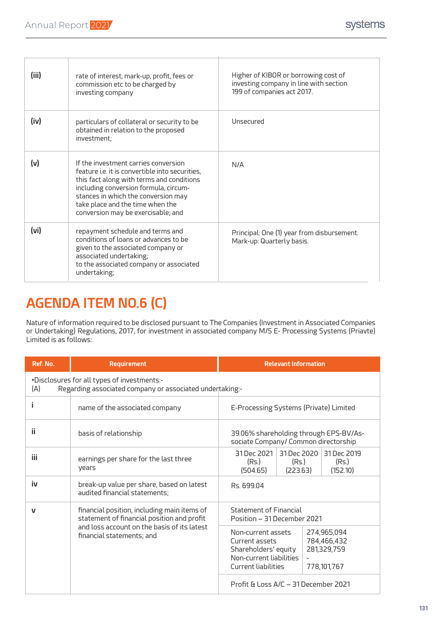| (iii)             | rate of interest, mark-up, profit, fees or<br>commission etc to be charged by<br>investing company                                                                                                                                                                                             | Higher of KIBOR or borrowing cost of<br>investing company in line with section<br>199 of companies act 2017. |
|-------------------|------------------------------------------------------------------------------------------------------------------------------------------------------------------------------------------------------------------------------------------------------------------------------------------------|--------------------------------------------------------------------------------------------------------------|
| (iv)              | particulars of collateral or security to be<br>obtained in relation to the proposed<br>investment:                                                                                                                                                                                             | Unsecured                                                                                                    |
| (v)               | If the investment carries conversion<br>feature i.e. it is convertible into securities,<br>this fact along with terms and conditions<br>including conversion formula, circum-<br>stances in which the conversion may<br>take place and the time when the<br>conversion may be exercisable; and | N/A                                                                                                          |
| (v <sub>i</sub> ) | repayment schedule and terms and<br>conditions of loans or advances to be<br>given to the associated company or<br>associated undertaking;<br>to the associated company or associated<br>undertaking;                                                                                          | Principal: One (1) year from disbursement.<br>Mark-up: Quarterly basis.                                      |

### **AGENDA ITEM NO.6 (C)**

Nature of information required to be disclosed pursuant to The Companies (Investment in Associated Companies or Undertaking) Regulations, 2017, for investment in associated company M/S E- Processing Systems (Priavte) Limited is as follows:

| Ref. No.                                                                                                       | <b>Requirement</b>                                                                        | <b>Relevant Information</b>                                                    |                                                                                                                       |  |                                                          |
|----------------------------------------------------------------------------------------------------------------|-------------------------------------------------------------------------------------------|--------------------------------------------------------------------------------|-----------------------------------------------------------------------------------------------------------------------|--|----------------------------------------------------------|
| •Disclosures for all types of investments:-<br>Regarding associated company or associated undertaking:-<br>(A) |                                                                                           |                                                                                |                                                                                                                       |  |                                                          |
|                                                                                                                | name of the associated company                                                            | E-Processing Systems (Private) Limited                                         |                                                                                                                       |  |                                                          |
| ij                                                                                                             | basis of relationship                                                                     | 39.06% shareholding through EPS-BV/As-<br>sociate Company/ Common directorship |                                                                                                                       |  |                                                          |
| iii.                                                                                                           | earnings per share for the last three<br>years                                            | 31 Dec 2021<br>(Rs.)<br>(504.65)                                               | 31 Dec 2020<br>(Rs.)<br>(223.63)                                                                                      |  | 31 Dec 2019<br>(Rs.)<br>(152.10)                         |
| iv                                                                                                             | break-up value per share, based on latest<br>audited financial statements;                | Rs. 699.04                                                                     |                                                                                                                       |  |                                                          |
| V                                                                                                              | financial position, including main items of<br>statement of financial position and profit | Statement of Financial<br>Position – 31 December 2021                          |                                                                                                                       |  |                                                          |
|                                                                                                                | and loss account on the basis of its latest<br>financial statements; and                  |                                                                                | Non-current assets<br>Current assets<br>Shareholders' equity<br>Non-current liabilities<br><b>Current liabilities</b> |  | 274,965,094<br>784,466,432<br>281,329,759<br>778,101,767 |
|                                                                                                                |                                                                                           | Profit & Loss A/C - 31 December 2021                                           |                                                                                                                       |  |                                                          |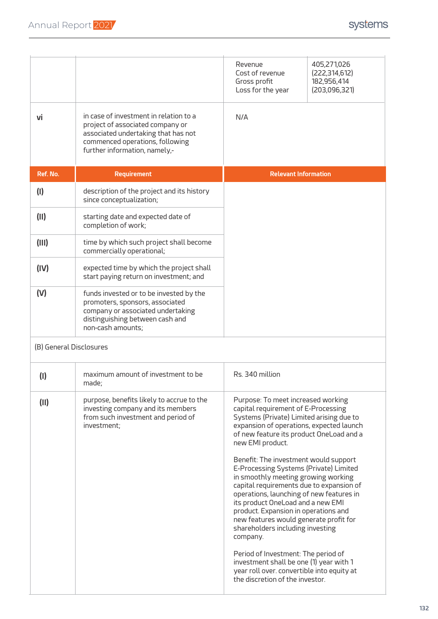|                         |                                                                                                                                                                                       | Revenue<br>Cost of revenue<br>Gross profit<br>Loss for the year                                                                                                                                                                                                                                                                                                                                                                                                                                                                                                                                                                                                                                                                                                                               | 405,271,026<br>(222, 314, 612)<br>182,956,414<br>(203,096,321) |  |
|-------------------------|---------------------------------------------------------------------------------------------------------------------------------------------------------------------------------------|-----------------------------------------------------------------------------------------------------------------------------------------------------------------------------------------------------------------------------------------------------------------------------------------------------------------------------------------------------------------------------------------------------------------------------------------------------------------------------------------------------------------------------------------------------------------------------------------------------------------------------------------------------------------------------------------------------------------------------------------------------------------------------------------------|----------------------------------------------------------------|--|
| vi                      | in case of investment in relation to a<br>project of associated company or<br>associated undertaking that has not<br>commenced operations, following<br>further information, namely,- | N/A                                                                                                                                                                                                                                                                                                                                                                                                                                                                                                                                                                                                                                                                                                                                                                                           |                                                                |  |
| Ref. No.                | <b>Requirement</b>                                                                                                                                                                    | <b>Relevant Information</b>                                                                                                                                                                                                                                                                                                                                                                                                                                                                                                                                                                                                                                                                                                                                                                   |                                                                |  |
| (1)                     | description of the project and its history<br>since conceptualization;                                                                                                                |                                                                                                                                                                                                                                                                                                                                                                                                                                                                                                                                                                                                                                                                                                                                                                                               |                                                                |  |
| (11)                    | starting date and expected date of<br>completion of work;                                                                                                                             |                                                                                                                                                                                                                                                                                                                                                                                                                                                                                                                                                                                                                                                                                                                                                                                               |                                                                |  |
| (III)                   | time by which such project shall become<br>commercially operational;                                                                                                                  |                                                                                                                                                                                                                                                                                                                                                                                                                                                                                                                                                                                                                                                                                                                                                                                               |                                                                |  |
| (IV)                    | expected time by which the project shall<br>start paying return on investment; and                                                                                                    |                                                                                                                                                                                                                                                                                                                                                                                                                                                                                                                                                                                                                                                                                                                                                                                               |                                                                |  |
| (V)                     | funds invested or to be invested by the<br>promoters, sponsors, associated<br>company or associated undertaking<br>distinguishing between cash and<br>non-cash amounts;               |                                                                                                                                                                                                                                                                                                                                                                                                                                                                                                                                                                                                                                                                                                                                                                                               |                                                                |  |
| (B) General Disclosures |                                                                                                                                                                                       |                                                                                                                                                                                                                                                                                                                                                                                                                                                                                                                                                                                                                                                                                                                                                                                               |                                                                |  |
| (1)                     | maximum amount of investment to be<br>made;                                                                                                                                           | Rs. 340 million                                                                                                                                                                                                                                                                                                                                                                                                                                                                                                                                                                                                                                                                                                                                                                               |                                                                |  |
| (11)                    | purpose, benefits likely to accrue to the<br>investing company and its members<br>from such investment and period of<br>investment;                                                   | Purpose: To meet increased working<br>capital requirement of E-Processing<br>Systems (Private) Limited arising due to<br>expansion of operations, expected launch<br>of new feature its product OneLoad and a<br>new EMI product.<br>Benefit: The investment would support<br>E-Processing Systems (Private) Limited<br>in smoothly meeting growing working<br>capital requirements due to expansion of<br>operations, launching of new features in<br>its product OneLoad and a new EMI<br>product. Expansion in operations and<br>new features would generate profit for<br>shareholders including investing<br>company.<br>Period of Investment: The period of<br>investment shall be one (1) year with 1<br>year roll over. convertible into equity at<br>the discretion of the investor. |                                                                |  |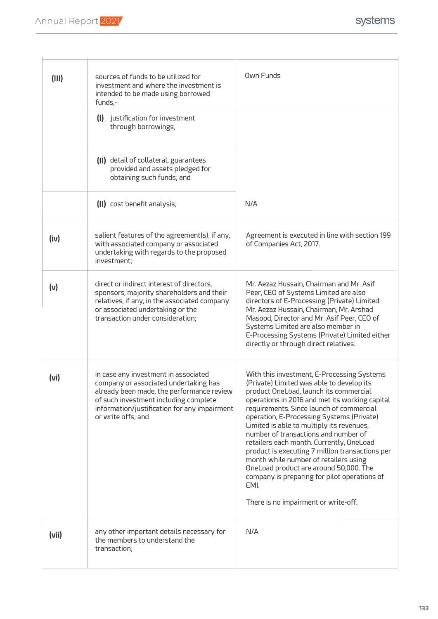| (III) | sources of funds to be utilized for<br>investment and where the investment is<br>intended to be made using borrowed<br>funds,-                                                                                                            | Own Funds                                                                                                                                                                                                                                                                                                                                                                                                                                                                                                                                                                                                                                           |
|-------|-------------------------------------------------------------------------------------------------------------------------------------------------------------------------------------------------------------------------------------------|-----------------------------------------------------------------------------------------------------------------------------------------------------------------------------------------------------------------------------------------------------------------------------------------------------------------------------------------------------------------------------------------------------------------------------------------------------------------------------------------------------------------------------------------------------------------------------------------------------------------------------------------------------|
|       | justification for investment<br>(1)<br>through borrowings;                                                                                                                                                                                |                                                                                                                                                                                                                                                                                                                                                                                                                                                                                                                                                                                                                                                     |
|       | (II) detail of collateral, guarantees<br>provided and assets pledged for<br>obtaining such funds; and                                                                                                                                     |                                                                                                                                                                                                                                                                                                                                                                                                                                                                                                                                                                                                                                                     |
|       | (II) cost benefit analysis;                                                                                                                                                                                                               | N/A                                                                                                                                                                                                                                                                                                                                                                                                                                                                                                                                                                                                                                                 |
| (iv)  | salient features of the agreement(s), if any,<br>with associated company or associated<br>undertaking with regards to the proposed<br>investment;                                                                                         | Agreement is executed in line with section 199<br>of Companies Act, 2017.                                                                                                                                                                                                                                                                                                                                                                                                                                                                                                                                                                           |
| (v)   | direct or indirect interest of directors,<br>sponsors, majority shareholders and their<br>relatives, if any, in the associated company<br>or associated undertaking or the<br>transaction under consideration;                            | Mr. Aezaz Hussain, Chairman and Mr. Asif<br>Peer, CEO of Systems Limited are also<br>directors of E-Processing (Private) Limited.<br>Mr. Aezaz Hussain, Chairman, Mr. Arshad<br>Masood, Director and Mr. Asif Peer, CEO of<br>Systems Limited are also member in<br>E-Processing Systems (Private) Limited either<br>directly or through direct relatives.                                                                                                                                                                                                                                                                                          |
| (vi)  | in case any investment in associated<br>company or associated undertaking has<br>already been made, the performance review<br>of such investment including complete<br>information/justification for any impairment<br>or write offs; and | With this investment, E-Processing Systems<br>(Private) Limited was able to develop its<br>product OneLoad, launch its commercial<br>operations in 2016 and met its working capital<br>requirements. Since launch of commercial<br>operation, E-Processing Systems (Private)<br>Limited is able to multiply its revenues,<br>number of transactions and number of<br>retailers each month. Currently, OneLoad<br>product is executing 7 million transactions per<br>month while number of retailers using<br>OneLoad product are around 50,000. The<br>company is preparing for pilot operations of<br>EMI.<br>There is no impairment or write-off. |
| (vii) | any other important details necessary for<br>the members to understand the<br>transaction;                                                                                                                                                | N/A                                                                                                                                                                                                                                                                                                                                                                                                                                                                                                                                                                                                                                                 |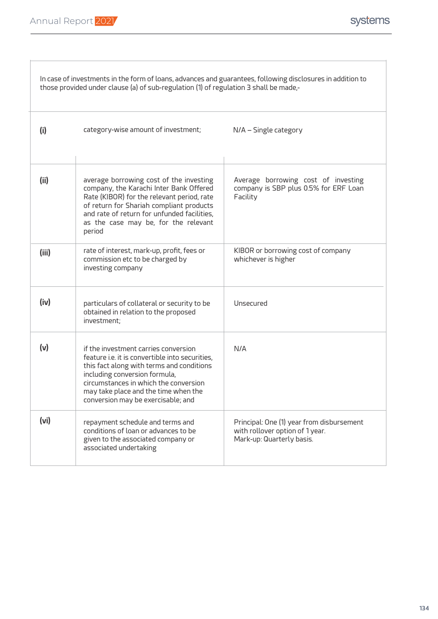T

| In case of investments in the form of loans, advances and guarantees, following disclosures in addition to<br>those provided under clause (a) of sub-regulation (1) of regulation 3 shall be made,- |                                                                                                                                                                                                                                                                                              |                                                                                                           |  |
|-----------------------------------------------------------------------------------------------------------------------------------------------------------------------------------------------------|----------------------------------------------------------------------------------------------------------------------------------------------------------------------------------------------------------------------------------------------------------------------------------------------|-----------------------------------------------------------------------------------------------------------|--|
| (i)                                                                                                                                                                                                 | category-wise amount of investment;                                                                                                                                                                                                                                                          | N/A - Single category                                                                                     |  |
| (ii)                                                                                                                                                                                                | average borrowing cost of the investing<br>company, the Karachi Inter Bank Offered<br>Rate (KIBOR) for the relevant period, rate<br>of return for Shariah compliant products<br>and rate of return for unfunded facilities,<br>as the case may be, for the relevant<br>period                | Average borrowing cost of investing<br>company is SBP plus 0.5% for ERF Loan<br>Facility                  |  |
| (iii)                                                                                                                                                                                               | rate of interest, mark-up, profit, fees or<br>commission etc to be charged by<br>investing company                                                                                                                                                                                           | KIBOR or borrowing cost of company<br>whichever is higher                                                 |  |
| (iv)                                                                                                                                                                                                | particulars of collateral or security to be<br>obtained in relation to the proposed<br>investment;                                                                                                                                                                                           | Unsecured                                                                                                 |  |
| (v)                                                                                                                                                                                                 | if the investment carries conversion<br>feature i.e. it is convertible into securities,<br>this fact along with terms and conditions<br>including conversion formula,<br>circumstances in which the conversion<br>may take place and the time when the<br>conversion may be exercisable; and | N/A                                                                                                       |  |
| (vi)                                                                                                                                                                                                | repayment schedule and terms and<br>conditions of loan or advances to be<br>given to the associated company or<br>associated undertaking                                                                                                                                                     | Principal: One (1) year from disbursement<br>with rollover option of 1 year.<br>Mark-up: Quarterly basis. |  |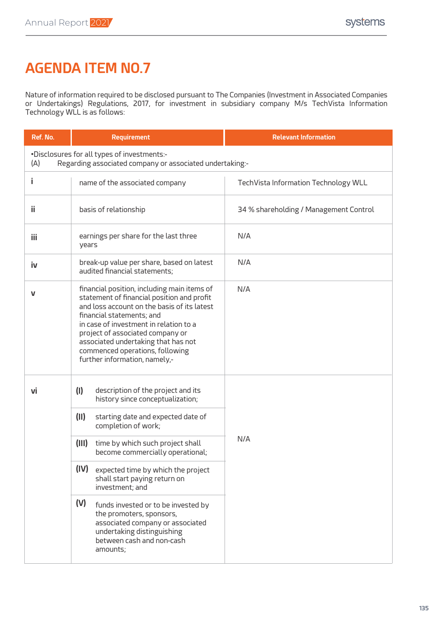### **AGENDA ITEM NO.7**

Nature of information required to be disclosed pursuant to The Companies (Investment in Associated Companies or Undertakings) Regulations, 2017, for investment in subsidiary company M/s TechVista Information Technology WLL is as follows:

| Ref. No.                                                                                                       | <b>Requirement</b>                                                                                                                                                                                                                                                                                                                                             | <b>Relevant Information</b>            |  |  |
|----------------------------------------------------------------------------------------------------------------|----------------------------------------------------------------------------------------------------------------------------------------------------------------------------------------------------------------------------------------------------------------------------------------------------------------------------------------------------------------|----------------------------------------|--|--|
| •Disclosures for all types of investments:-<br>(A)<br>Regarding associated company or associated undertaking:- |                                                                                                                                                                                                                                                                                                                                                                |                                        |  |  |
| i                                                                                                              | name of the associated company                                                                                                                                                                                                                                                                                                                                 | TechVista Information Technology WLL   |  |  |
| ii                                                                                                             | basis of relationship                                                                                                                                                                                                                                                                                                                                          | 34 % shareholding / Management Control |  |  |
| iii                                                                                                            | earnings per share for the last three<br>years                                                                                                                                                                                                                                                                                                                 | N/A                                    |  |  |
| iv                                                                                                             | break-up value per share, based on latest<br>audited financial statements;                                                                                                                                                                                                                                                                                     | N/A                                    |  |  |
| V                                                                                                              | financial position, including main items of<br>statement of financial position and profit<br>and loss account on the basis of its latest<br>financial statements; and<br>in case of investment in relation to a<br>project of associated company or<br>associated undertaking that has not<br>commenced operations, following<br>further information, namely,- | N/A                                    |  |  |
| Vİ                                                                                                             | (1)<br>description of the project and its<br>history since conceptualization;                                                                                                                                                                                                                                                                                  |                                        |  |  |
|                                                                                                                | (11)<br>starting date and expected date of<br>completion of work;                                                                                                                                                                                                                                                                                              |                                        |  |  |
|                                                                                                                | (III)<br>time by which such project shall<br>become commercially operational;                                                                                                                                                                                                                                                                                  | N/A                                    |  |  |
|                                                                                                                | (IV)<br>expected time by which the project<br>shall start paying return on<br>investment; and                                                                                                                                                                                                                                                                  |                                        |  |  |
|                                                                                                                | (V)<br>funds invested or to be invested by<br>the promoters, sponsors,<br>associated company or associated<br>undertaking distinguishing<br>between cash and non-cash<br>amounts;                                                                                                                                                                              |                                        |  |  |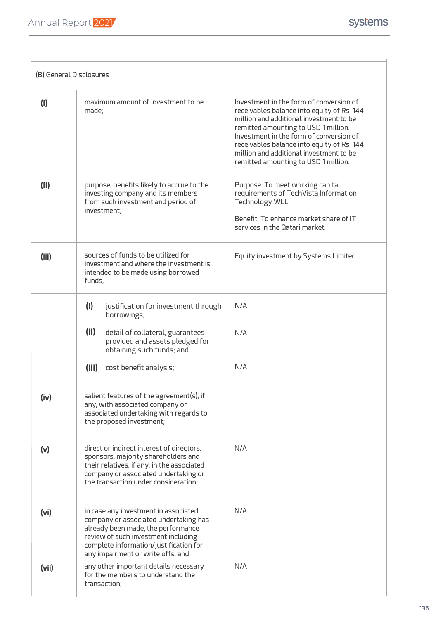|       | (B) General Disclosures                                                                                                                                                                                                                   |                                                                                                                                                                                                                                                                                                                                                      |
|-------|-------------------------------------------------------------------------------------------------------------------------------------------------------------------------------------------------------------------------------------------|------------------------------------------------------------------------------------------------------------------------------------------------------------------------------------------------------------------------------------------------------------------------------------------------------------------------------------------------------|
| (1)   | maximum amount of investment to be<br>made:                                                                                                                                                                                               | Investment in the form of conversion of<br>receivables balance into equity of Rs. 144<br>million and additional investment to be<br>remitted amounting to USD 1 million.<br>Investment in the form of conversion of<br>receivables balance into equity of Rs. 144<br>million and additional investment to be<br>remitted amounting to USD 1 million. |
| (11)  | purpose, benefits likely to accrue to the<br>investing company and its members<br>from such investment and period of<br>investment:                                                                                                       | Purpose: To meet working capital<br>requirements of TechVista Information<br>Technology WLL.<br>Benefit: To enhance market share of IT<br>services in the Qatari market.                                                                                                                                                                             |
| (iii) | sources of funds to be utilized for<br>investment and where the investment is<br>intended to be made using borrowed<br>funds,-                                                                                                            | Equity investment by Systems Limited.                                                                                                                                                                                                                                                                                                                |
|       | (1)<br>justification for investment through<br>borrowings;                                                                                                                                                                                | N/A                                                                                                                                                                                                                                                                                                                                                  |
|       | (11)<br>detail of collateral, guarantees<br>provided and assets pledged for<br>obtaining such funds; and                                                                                                                                  | N/A                                                                                                                                                                                                                                                                                                                                                  |
|       | (III)<br>cost benefit analysis;                                                                                                                                                                                                           | N/A                                                                                                                                                                                                                                                                                                                                                  |
| (iv)  | salient features of the agreement(s), if<br>any, with associated company or<br>associated undertaking with regards to<br>the proposed investment;                                                                                         |                                                                                                                                                                                                                                                                                                                                                      |
| (v)   | direct or indirect interest of directors,<br>sponsors, majority shareholders and<br>their relatives, if any, in the associated<br>company or associated undertaking or<br>the transaction under consideration;                            | N/A                                                                                                                                                                                                                                                                                                                                                  |
| (vi)  | in case any investment in associated<br>company or associated undertaking has<br>already been made, the performance<br>review of such investment including<br>complete information/justification for<br>any impairment or write offs; and | N/A                                                                                                                                                                                                                                                                                                                                                  |
| (vii) | any other important details necessary<br>for the members to understand the<br>transaction;                                                                                                                                                | N/A                                                                                                                                                                                                                                                                                                                                                  |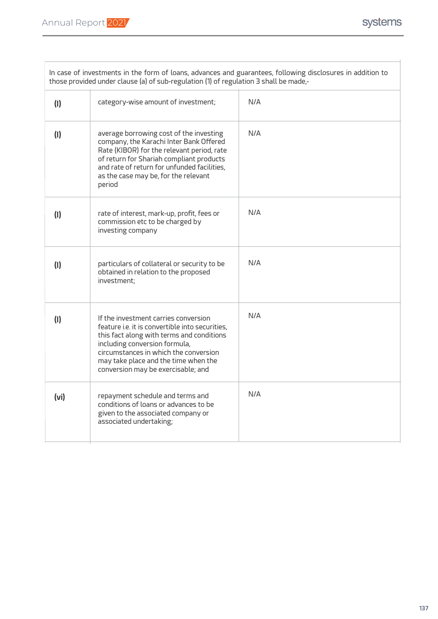| In case of investments in the form of loans, advances and guarantees, following disclosures in addition to<br>those provided under clause (a) of sub-regulation (1) of regulation 3 shall be made,- |                                                                                                                                                                                                                                                                                              |     |  |  |
|-----------------------------------------------------------------------------------------------------------------------------------------------------------------------------------------------------|----------------------------------------------------------------------------------------------------------------------------------------------------------------------------------------------------------------------------------------------------------------------------------------------|-----|--|--|
| (1)                                                                                                                                                                                                 | category-wise amount of investment;                                                                                                                                                                                                                                                          | N/A |  |  |
| (1)                                                                                                                                                                                                 | average borrowing cost of the investing<br>company, the Karachi Inter Bank Offered<br>Rate (KIBOR) for the relevant period, rate<br>of return for Shariah compliant products<br>and rate of return for unfunded facilities,<br>as the case may be, for the relevant<br>period                | N/A |  |  |
| (1)                                                                                                                                                                                                 | rate of interest, mark-up, profit, fees or<br>commission etc to be charged by<br>investing company                                                                                                                                                                                           | N/A |  |  |
| (1)                                                                                                                                                                                                 | particulars of collateral or security to be<br>obtained in relation to the proposed<br>investment:                                                                                                                                                                                           | N/A |  |  |
| (1)                                                                                                                                                                                                 | If the investment carries conversion<br>feature i.e. it is convertible into securities,<br>this fact along with terms and conditions<br>including conversion formula,<br>circumstances in which the conversion<br>may take place and the time when the<br>conversion may be exercisable; and | N/A |  |  |
| (v <sub>i</sub> )                                                                                                                                                                                   | repayment schedule and terms and<br>conditions of loans or advances to be<br>given to the associated company or<br>associated undertaking;                                                                                                                                                   | N/A |  |  |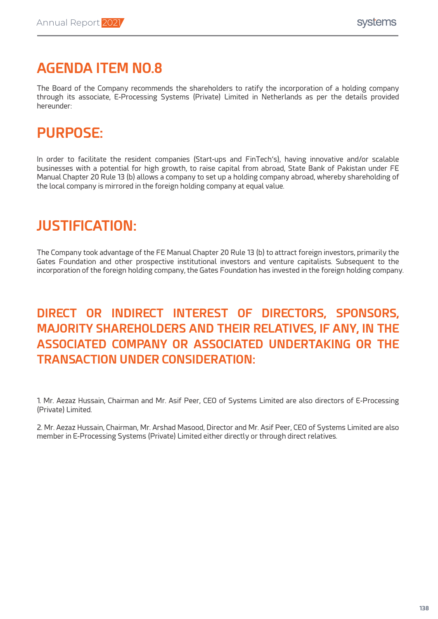### **AGENDA ITEM NO.8**

The Board of the Company recommends the shareholders to ratify the incorporation of a holding company through its associate, E-Processing Systems (Private) Limited in Netherlands as per the details provided hereunder:

# **PURPOSE:**

In order to facilitate the resident companies (Start-ups and FinTech's), having innovative and/or scalable businesses with a potential for high growth, to raise capital from abroad, State Bank of Pakistan under FE Manual Chapter 20 Rule 13 (b) allows a company to set up a holding company abroad, whereby shareholding of the local company is mirrored in the foreign holding company at equal value.

### **JUSTIFICATION:**

The Company took advantage of the FE Manual Chapter 20 Rule 13 (b) to attract foreign investors, primarily the Gates Foundation and other prospective institutional investors and venture capitalists. Subsequent to the incorporation of the foreign holding company, the Gates Foundation has invested in the foreign holding company.

### **DIRECT OR INDIRECT INTEREST OF DIRECTORS, SPONSORS, MAJORITY SHAREHOLDERS AND THEIR RELATIVES, IF ANY, IN THE ASSOCIATED COMPANY OR ASSOCIATED UNDERTAKING OR THE TRANSACTION UNDER CONSIDERATION:**

1. Mr. Aezaz Hussain, Chairman and Mr. Asif Peer, CEO of Systems Limited are also directors of E-Processing (Private) Limited.

2. Mr. Aezaz Hussain, Chairman, Mr. Arshad Masood, Director and Mr. Asif Peer, CEO of Systems Limited are also member in E-Processing Systems (Private) Limited either directly or through direct relatives.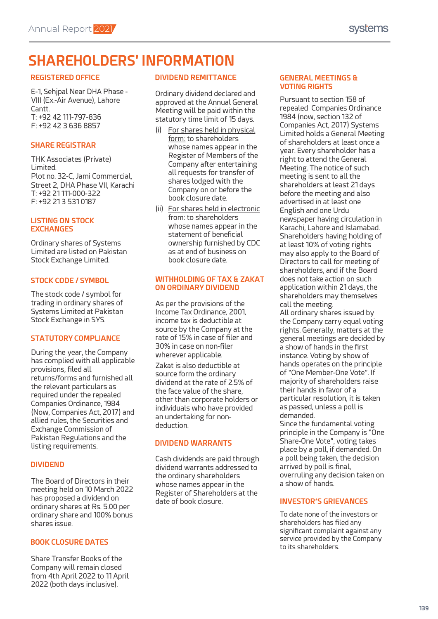### **SHAREHOLDERS' INFORMATION**

#### **REGISTERED OFFICE**

E-1, Sehjpal Near DHA Phase - VIII (Ex.-Air Avenue), Lahore Cantt. T: +92 42 111-797-836 F: +92 42 3 636 8857

#### **SHARE REGISTRAR**

THK Associates (Private) Limited. Plot no. 32-C, Jami Commercial, Street 2, DHA Phase VII, Karachi T: +92 21 111-000-322 F: +92 21 3 531 0187

#### **LISTING ON STOCK EXCHANGES**

Ordinary shares of Systems Limited are listed on Pakistan Stock Exchange Limited.

#### **STOCK CODE / SYMBOL**

The stock code / symbol for trading in ordinary shares of Systems Limited at Pakistan Stock Exchange in SYS.

#### **STATUTORY COMPLIANCE**

During the year, the Company has complied with all applicable provisions, filed all returns/forms and furnished all the relevant particulars as required under the repealed Companies Ordinance, 1984 (Now, Companies Act, 2017) and allied rules, the Securities and Exchange Commission of Pakistan Regulations and the listing requirements.

#### **DIVIDEND**

The Board of Directors in their meeting held on 10 March 2022 has proposed a dividend on ordinary shares at Rs. 5.00 per ordinary share and 100% bonus shares issue.

#### **BOOK CLOSURE DATES**

Share Transfer Books of the Company will remain closed from 4th April 2022 to 11 April 2022 (both days inclusive).

### **DIVIDEND REMITTANCE**

Ordinary dividend declared and approved at the Annual General Meeting will be paid within the statutory time limit of 15 days.

- (i) For shares held in physical form: to shareholders whose names appear in the Register of Members of the Company after entertaining all requests for transfer of shares lodged with the Company on or before the book closure date.
- (ii) For shares held in electronic from: to shareholders whose names appear in the statement of beneficial ownership furnished by CDC as at end of business on book closure date.

#### **WITHHOLDING OF TAX & ZAKAT ON ORDINARY DIVIDEND**

As per the provisions of the Income Tax Ordinance, 2001, income tax is deductible at source by the Company at the rate of 15% in case of filer and 30% in case on non-filer wherever applicable.

Zakat is also deductible at source form the ordinary dividend at the rate of 2.5% of the face value of the share, other than corporate holders or individuals who have provided an undertaking for nondeduction.

#### **DIVIDEND WARRANTS**

Cash dividends are paid through dividend warrants addressed to the ordinary shareholders whose names appear in the Register of Shareholders at the date of book closure. **INVESTOR'S GRIEVANCES**

#### **GENERAL MEETINGS & VOTING RIGHTS**

Pursuant to section 158 of repealed Companies Ordinance 1984 (now, section 132 of Companies Act, 2017) Systems Limited holds a General Meeting of shareholders at least once a year. Every shareholder has a right to attend the General Meeting. The notice of such meeting is sent to all the shareholders at least 21 days before the meeting and also advertised in at least one English and one Urdu newspaper having circulation in Karachi, Lahore and Islamabad. Shareholders having holding of at least 10% of voting rights may also apply to the Board of Directors to call for meeting of shareholders, and if the Board does not take action on such application within 21 days, the shareholders may themselves call the meeting. All ordinary shares issued by the Company carry equal voting rights. Generally, matters at the general meetings are decided by

a show of hands in the first instance. Voting by show of hands operates on the principle of "One Member-One Vote". If majority of shareholders raise their hands in favor of a particular resolution, it is taken as passed, unless a poll is demanded.

Since the fundamental voting principle in the Company is "One Share-One Vote", voting takes place by a poll, if demanded. On a poll being taken, the decision arrived by poll is final, overruling any decision taken on a show of hands.

To date none of the investors or shareholders has filed any significant complaint against any service provided by the Company to its shareholders.